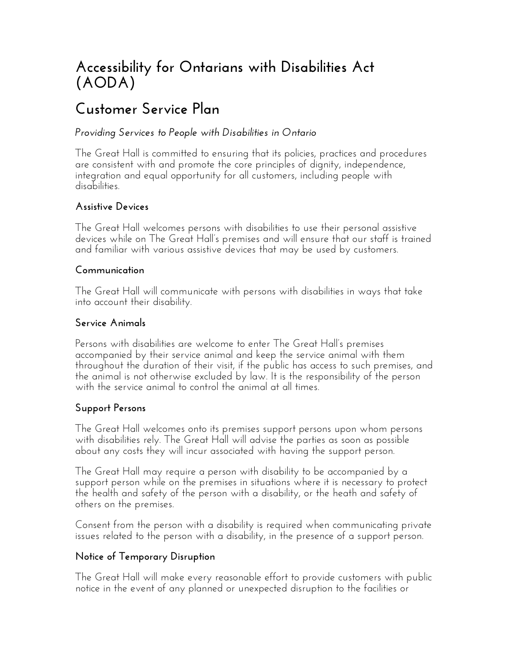# **Accessibility for Ontarians with Disabilities Act (AODA)**

# **Customer Service Plan**

### *Providing Services to People with Disabilities in Ontario*

The Great Hall is committed to ensuring that its policies, practices and procedures are consistent with and promote the core principles of dignity, independence, integration and equal opportunity for all customers, including people with disabilities.

### **Assistive Devices**

The Great Hall welcomes persons with disabilities to use their personal assistive devices while on The Great Hall's premises and will ensure that our staff is trained and familiar with various assistive devices that may be used by customers.

#### **Communication**

The Great Hall will communicate with persons with disabilities in ways that take into account their disability.

#### **Service Animals**

Persons with disabilities are welcome to enter The Great Hall's premises accompanied by their service animal and keep the service animal with them throughout the duration of their visit, if the public has access to such premises, and the animal is not otherwise excluded by law. It is the responsibility of the person with the service animal to control the animal at all times.

#### **Support Persons**

The Great Hall welcomes onto its premises support persons upon whom persons with disabilities rely. The Great Hall will advise the parties as soon as possible about any costs they will incur associated with having the support person.

The Great Hall may require a person with disability to be accompanied by a support person while on the premises in situations where it is necessary to protect the health and safety of the person with a disability, or the heath and safety of others on the premises.

Consent from the person with a disability is required when communicating private issues related to the person with a disability, in the presence of a support person.

#### **Notice of Temporary Disruption**

The Great Hall will make every reasonable effort to provide customers with public notice in the event of any planned or unexpected disruption to the facilities or